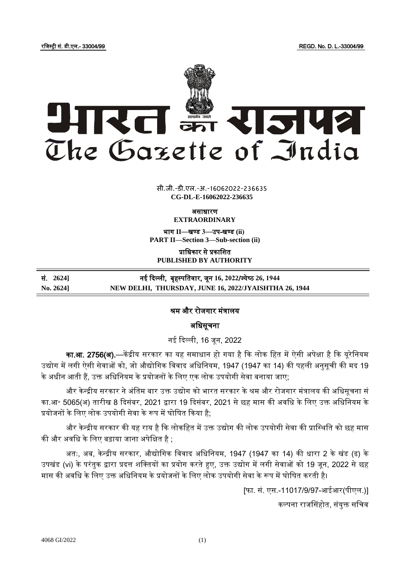रजजस्ट्री सं. डी.एल.- 33004/99 REGD. No. D. L.-33004/99



**x xxx**GIDE**xxx** सी.जी.-डी.एल.-अ.-16062022-236635 **CG-DL-E-16062022-236635**

ऄसाधारण

**EXTRAORDINARY**

भाग **II**—खण् ड **3**—उप-खण् ड **(ii) PART II—Section 3—Sub-section (ii)**

प्राजधकार से प्रकाजित **PUBLISHED BY AUTHORITY**

| सं. 26241              | नई दिल्ली,  बृहस्पतिवार, जून 16, 2022/ज्येष्ठ 26, 1944 |
|------------------------|--------------------------------------------------------|
| $\mathrm{No.}\,2624$ ] | NEW DELHI, THURSDAY, JUNE 16, 2022/JYAISHTHA 26, 1944  |

## श्रम और रोजगार मंत्रालय

अधिसूचना

नई दिल्ली, 16 जून, 2022

का.<mark>आ. 2756(अ).</mark>—केंद्रीय सरकार का यह समाधान हो गया है कि लोक हित में ऐसी अपेक्षा है कि यूरेनियम उद्योग में लगी ऐसी सेवाओं को, जो औद्योगिक विवाद अधिनियम, 1947 (1947 का 14) की पहली अनुसूची की मद 19 के अधीन आती हैं, उक्त अधिनियम के प्रयोजनों के लिए एक लोक उपयोगी सेवा बनाया जाए;

और केन्द्रीय सरकार ने अंतिम बार उक्त उद्योग को भारत सरकार के श्रम और रोजगार मंत्रालय की अधिसूचना सं का.आ॰ 5065(अ) तारीख 8 दिसंबर, 2021 द्वारा 19 दिसंबर, 2021 से छह मास की अवधि के लिए उक्त अधिनियम के प्रयोजनों के लिए लोक उपयोगी सेवा के रूप में घोषित किया है;

और केन्द्रीय सरकार की यह राय है कि लोकहित में उक्त उद्योग की लोक उपयोगी सेवा की प्रास्थिति को छह मास की और अवधि के लिए बढ़ाया जाना अपेक्षित है ;

अतः, अब, केन्द्रीय सरकार, औद्योगिक विवाद अधिनियम, 1947 (1947 का 14) की धारा 2 के खंड (ढ) के उपखंड (vi) के परंतुक द्वारा प्रदत्त शक्तियों का प्रयोग करते हुए, उक्त उद्योग में लगी सेवाओं को 19 जून, 2022 से छह मास की अवधि के लिए उक्त अधिनियम के प्रयोजनों के लिए लोक उपयोगी सेवा के रूप में घोषित करती है।

[फा. सं. एस.-11017/9/97-अईअर(पीएल.)]

कल्पना राजससहोत, संयुक्त सजचव